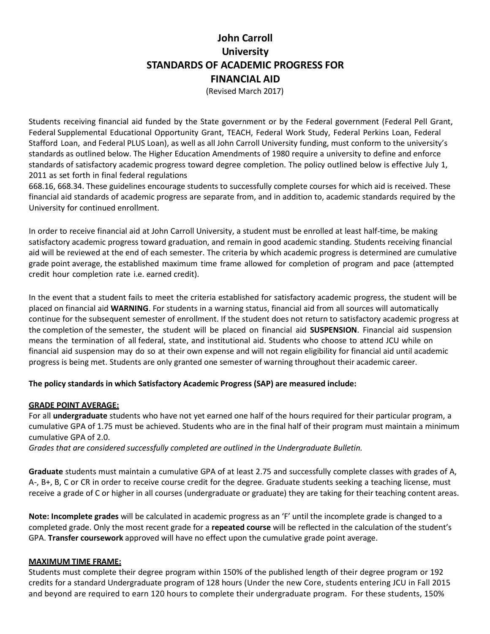# **STANDARDS OF ACADEMIC PROGRESS FOR John Carroll University FINANCIAL AID**

(Revised March 2017)

 Students receiving financial aid funded by the State government or by the Federal government (Federal Pell Grant, Federal Supplemental Educational Opportunity Grant, TEACH, Federal Work Study, Federal Perkins Loan, Federal Stafford Loan, and Federal PLUS Loan), as well as all John Carroll University funding, must conform to the university's standards as outlined below. The Higher Education Amendments of 1980 require a university to define and enforce standards of satisfactory academic progress toward degree completion. The policy outlined below is effective July 1, 2011 as set forth in final federal regulations

 668.16, 668.34. These guidelines encourage students to successfully complete courses for which aid is received. These financial aid standards of academic progress are separate from, and in addition to, academic standards required by the University for continued enrollment.

 In order to receive financial aid at John Carroll University, a student must be enrolled at least half-time, be making satisfactory academic progress toward graduation, and remain in good academic standing. Students receiving financial aid will be reviewed at the end of each semester. The criteria by which academic progress is determined are cumulative grade point average, the established maximum time frame allowed for completion of program and pace (attempted credit hour completion rate i.e. earned credit).

 In the event that a student fails to meet the criteria established for satisfactory academic progress, the student will be placed on financial aid **WARNING**. For students in a warning status, financial aid from all sources will automatically continue for the subsequent semester of enrollment. If the student does not return to satisfactory academic progress at the completion of the semester, the student will be placed on financial aid **SUSPENSION**. Financial aid suspension means the termination of all federal, state, and institutional aid. Students who choose to attend JCU while on financial aid suspension may do so at their own expense and will not regain eligibility for financial aid until academic progress is being met. Students are only granted one semester of warning throughout their academic career.

#### **The policy standards in which Satisfactory Academic Progress (SAP) are measured include:**

#### **GRADE POINT AVERAGE:**

For all **undergraduate** students who have not yet earned one half of the hours required for their particular program, a cumulative GPA of 1.75 must be achieved. Students who are in the final half of their program must maintain a minimum cumulative GPA of 2.0.

 *Grades that are considered successfully completed are outlined in the Undergraduate Bulletin.* 

 **Graduate** students must maintain a cumulative GPA of at least 2.75 and successfully complete classes with grades of A, A-, B+, B, C or CR in order to receive course credit for the degree. Graduate students seeking a teaching license, must receive a grade of C or higher in all courses (undergraduate or graduate) they are taking for their teaching content areas.

 **Note: Incomplete grades** will be calculated in academic progress as an 'F' until the incomplete grade is changed to a completed grade. Only the most recent grade for a **repeated course** will be reflected in the calculation of the student's GPA. **Transfer coursework** approved will have no effect upon the cumulative grade point average.

#### **MAXIMUM TIME FRAME:**

Students must complete their degree program within 150% of the published length of their degree program or 192 credits for a standard Undergraduate program of 128 hours (Under the new Core, students entering JCU in Fall 2015 and beyond are required to earn 120 hours to complete their undergraduate program. For these students, 150%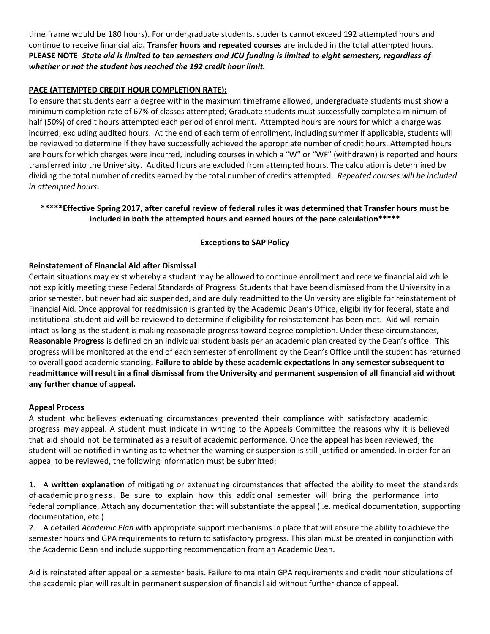time frame would be 180 hours). For undergraduate students, students cannot exceed 192 attempted hours and continue to receive financial aid**. Transfer hours and repeated courses** are included in the total attempted hours. **PLEASE NOTE**: *State aid is limited to ten semesters and JCU funding is limited to eight semesters, regardless of whether or not the student has reached the 192 credit hour limit.* 

# **PACE (ATTEMPTED CREDIT HOUR COMPLETION RATE):**

 To ensure that students earn a degree within the maximum timeframe allowed, undergraduate students must show a minimum completion rate of 67% of classes attempted; Graduate students must successfully complete a minimum of half (50%) of credit hours attempted each period of enrollment. Attempted hours are hours for which a charge was incurred, excluding audited hours. At the end of each term of enrollment, including summer if applicable, students will be reviewed to determine if they have successfully achieved the appropriate number of credit hours. Attempted hours are hours for which charges were incurred, including courses in which a "W" or "WF" (withdrawn) is reported and hours transferred into the University. Audited hours are excluded from attempted hours. The calculation is determined by dividing the total number of credits earned by the total number of credits attempted. *Repeated courses will be included in attempted hours***.** 

# **\*\*\*\*\*Effective Spring 2017, after careful review of federal rules it was determined that Transfer hours must be included in both the attempted hours and earned hours of the pace calculation\*\*\*\*\***

# **Exceptions to SAP Policy**

### **Reinstatement of Financial Aid after Dismissal**

 Certain situations may exist whereby a student may be allowed to continue enrollment and receive financial aid while not explicitly meeting these Federal Standards of Progress. Students that have been dismissed from the University in a prior semester, but never had aid suspended, and are duly readmitted to the University are eligible for reinstatement of Financial Aid. Once approval for readmission is granted by the Academic Dean's Office, eligibility for federal, state and institutional student aid will be reviewed to determine if eligibility for reinstatement has been met. Aid will remain intact as long as the student is making reasonable progress toward degree completion. Under these circumstances,  **Reasonable Progress** is defined on an individual student basis per an academic plan created by the Dean's office. This progress will be monitored at the end of each semester of enrollment by the Dean's Office until the student has returned to overall good academic standing**. Failure to abide by these academic expectations in any semester subsequent to readmittance will result in a final dismissal from the University and permanent suspension of all financial aid without any further chance of appeal.** 

#### **Appeal Process**

 A student who believes extenuating circumstances prevented their compliance with satisfactory academic progress may appeal. A student must indicate in writing to the Appeals Committee the reasons why it is believed that aid should not be terminated as a result of academic performance. Once the appeal has been reviewed, the student will be notified in writing as to whether the warning or suspension is still justified or amended. In order for an appeal to be reviewed, the following information must be submitted:

 1. A **written explanation** of mitigating or extenuating circumstances that affected the ability to meet the standards of academic progress. Be sure to explain how this additional semester will bring the performance into federal compliance. Attach any documentation that will substantiate the appeal (i.e. medical documentation, supporting documentation, etc.)

 2. A detailed *Academic Plan* with appropriate support mechanisms in place that will ensure the ability to achieve the semester hours and GPA requirements to return to satisfactory progress. This plan must be created in conjunction with the Academic Dean and include supporting recommendation from an Academic Dean.

Aid is reinstated after appeal on a semester basis. Failure to maintain GPA requirements and credit hour stipulations of the academic plan will result in permanent suspension of financial aid without further chance of appeal.